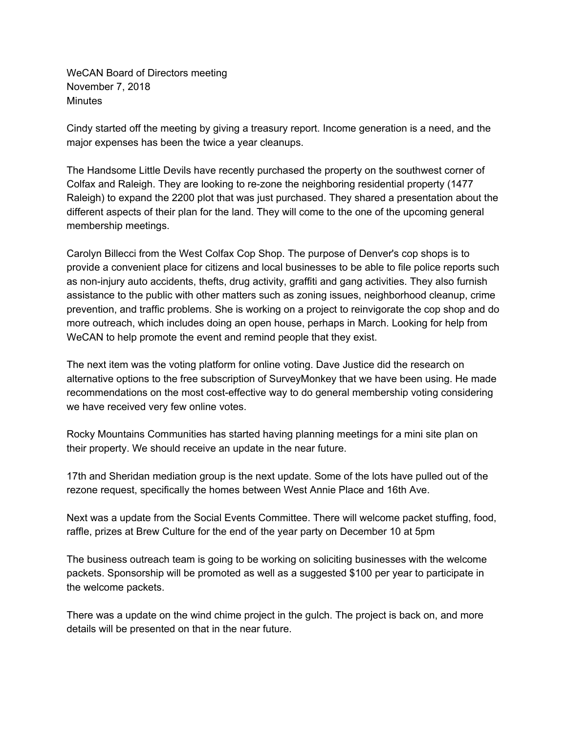WeCAN Board of Directors meeting November 7, 2018 **Minutes** 

Cindy started off the meeting by giving a treasury report. Income generation is a need, and the major expenses has been the twice a year cleanups.

The Handsome Little Devils have recently purchased the property on the southwest corner of Colfax and Raleigh. They are looking to re-zone the neighboring residential property (1477 Raleigh) to expand the 2200 plot that was just purchased. They shared a presentation about the different aspects of their plan for the land. They will come to the one of the upcoming general membership meetings.

Carolyn Billecci from the West Colfax Cop Shop. The purpose of Denver's cop shops is to provide a convenient place for citizens and local businesses to be able to file police reports such as non-injury auto accidents, thefts, drug activity, graffiti and gang activities. They also furnish assistance to the public with other matters such as zoning issues, neighborhood cleanup, crime prevention, and traffic problems. She is working on a project to reinvigorate the cop shop and do more outreach, which includes doing an open house, perhaps in March. Looking for help from WeCAN to help promote the event and remind people that they exist.

The next item was the voting platform for online voting. Dave Justice did the research on alternative options to the free subscription of SurveyMonkey that we have been using. He made recommendations on the most cost-effective way to do general membership voting considering we have received very few online votes.

Rocky Mountains Communities has started having planning meetings for a mini site plan on their property. We should receive an update in the near future.

17th and Sheridan mediation group is the next update. Some of the lots have pulled out of the rezone request, specifically the homes between West Annie Place and 16th Ave.

Next was a update from the Social Events Committee. There will welcome packet stuffing, food, raffle, prizes at Brew Culture for the end of the year party on December 10 at 5pm

The business outreach team is going to be working on soliciting businesses with the welcome packets. Sponsorship will be promoted as well as a suggested \$100 per year to participate in the welcome packets.

There was a update on the wind chime project in the gulch. The project is back on, and more details will be presented on that in the near future.